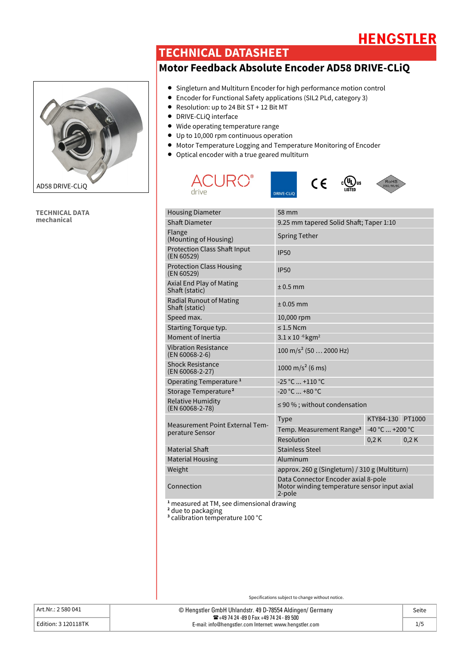# **HENGSTLER**

### **TECHNICAL DATASHEET**

### **Motor Feedback Absolute Encoder AD58 DRIVE-CLiQ**



**TECHNICAL DATA mechanical**

- Singleturn and Multiturn Encoder for high performance motion control
- Encoder for Functional Safety applications (SIL2 PLd, category 3)
- Resolution: up to 24 Bit ST + 12 Bit MT
- DRIVE-CLiQ interface
- Wide operating temperature range
- Up to 10,000 rpm continuous operation
- Motor Temperature Logging and Temperature Monitoring of Encoder
- Optical encoder with a true geared multiturn









| <b>Housing Diameter</b>                                   | 58 mm                                                                                         |                   |      |
|-----------------------------------------------------------|-----------------------------------------------------------------------------------------------|-------------------|------|
| <b>Shaft Diameter</b>                                     | 9.25 mm tapered Solid Shaft; Taper 1:10                                                       |                   |      |
| Flange<br>(Mounting of Housing)                           | <b>Spring Tether</b>                                                                          |                   |      |
| <b>Protection Class Shaft Input</b><br>(EN 60529)         | <b>IP50</b>                                                                                   |                   |      |
| <b>Protection Class Housing</b><br>(EN 60529)             | <b>IP50</b>                                                                                   |                   |      |
| Axial End Play of Mating<br>Shaft (static)                | $± 0.5$ mm                                                                                    |                   |      |
| <b>Radial Runout of Mating</b><br>Shaft (static)          | $± 0.05$ mm                                                                                   |                   |      |
| Speed max.                                                | 10,000 rpm                                                                                    |                   |      |
| Starting Torque typ.                                      | $\leq$ 1.5 Ncm                                                                                |                   |      |
| Moment of Inertia                                         | $3.1 \times 10^{-6}$ kgm <sup>2</sup>                                                         |                   |      |
| <b>Vibration Resistance</b><br>(EN 60068-2-6)             | $100 \text{ m/s}^2 (50  2000 \text{ Hz})$                                                     |                   |      |
| <b>Shock Resistance</b><br>(EN 60068-2-27)                | 1000 m/s <sup>2</sup> (6 ms)                                                                  |                   |      |
| Operating Temperature <sup>1</sup>                        | $-25 °C  +110 °C$                                                                             |                   |      |
| Storage Temperature <sup>2</sup>                          | $-20 °C  +80 °C$                                                                              |                   |      |
| <b>Relative Humidity</b><br>(EN 60068-2-78)               | $\leq$ 90 %; without condensation                                                             |                   |      |
|                                                           | <b>Type</b>                                                                                   | KTY84-130 PT1000  |      |
| <b>Measurement Point External Tem-</b><br>perature Sensor | Temp. Measurement Range <sup>3</sup>                                                          | $-40 °C  +200 °C$ |      |
|                                                           | Resolution                                                                                    | 0,2K              | 0.2K |
| <b>Material Shaft</b>                                     | <b>Stainless Steel</b>                                                                        |                   |      |
| <b>Material Housing</b>                                   | Aluminum                                                                                      |                   |      |
| Weight                                                    | approx. 260 g (Singleturn) / 310 g (Multiturn)                                                |                   |      |
| Connection                                                | Data Connector Encoder axial 8-pole<br>Motor winding temperature sensor input axial<br>2-pole |                   |      |
|                                                           |                                                                                               |                   |      |

**<sup>1</sup>** measured at TM, see dimensional drawing

**<sup>2</sup>** due to packaging

**<sup>3</sup>** calibration temperature 100 °C

| Art.Nr.: 2 580 041  | © Hengstler GmbH Uhlandstr. 49 D-78554 Aldingen/ Germany<br>286+49 74 24 -89 0 Fax +49 74 24 - 89 500 | Seite |
|---------------------|-------------------------------------------------------------------------------------------------------|-------|
| Edition: 3 120118TK | E-mail: info@hengstler.com Internet: www.hengstler.com                                                |       |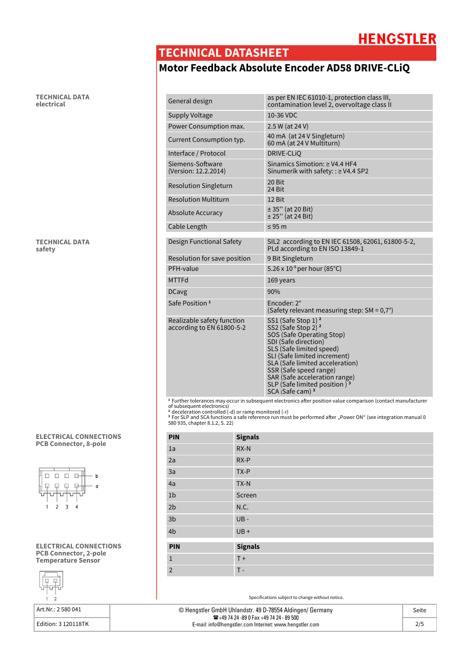## **HENGSTLER**

### **TECHNICAL DATASHEET**

## **Motor Feedback Absolute Encoder AD58 DRIVE-CLiQ**

| as per EN IEC 61010-1, protection class III,<br>General design<br>contamination level 2, overvoltage class II<br>10-36 VDC<br>Supply Voltage<br>Power Consumption max.<br>2.5 W (at 24 V)<br>40 mA (at 24 V Singleturn)<br>Current Consumption typ.<br>60 mA (at 24 V Multiturn)<br>Interface / Protocol<br>DRIVE-CLIO<br>Siemens-Software<br>Sinamics Simotion: $\geq$ V4.4 HF4<br>(Version: 12.2.2014)<br>Sinumerik with safety: : ≥ V4.4 SP2<br>20 Bit<br><b>Resolution Singleturn</b><br>24 Bit<br><b>Resolution Multiturn</b><br>12 Bit<br>$± 35"$ (at 20 Bit)<br>Absolute Accuracy<br>$± 25"$ (at 24 Bit)<br>$\leq$ 95 m<br>Cable Length<br>SIL2 according to EN IEC 61508, 62061, 61800-5-2,<br>Design Functional Safety<br>PLd according to EN ISO 13849-1<br>9 Bit Singleturn<br>Resolution for save position<br>5.26 x 10 <sup>-8</sup> per hour (85°C)<br>PFH-value<br><b>MTTFd</b><br>169 years<br>90%<br><b>DCavg</b><br>Encoder: 2°<br>Safe Position <sup>1</sup><br>(Safety relevant measuring step: $SM = 0.7^{\circ}$ )<br>SS1 (Safe Stop 1) <sup>2</sup><br>Realizable safety function<br>SS2 (Safe Stop 2) <sup>2</sup><br>according to EN 61800-5-2<br>SOS (Safe Operating Stop)<br>SDI (Safe direction)<br>SLS (Safe limited speed)<br>SLI (Safe limited increment)<br>SLA (Safe limited acceleration)<br>SSR (Safe speed range)<br>SAR (Safe acceleration range)<br>SLP (Safe limited position) <sup>3</sup><br>SCA (Safe cam) <sup>3</sup> |  |
|-------------------------------------------------------------------------------------------------------------------------------------------------------------------------------------------------------------------------------------------------------------------------------------------------------------------------------------------------------------------------------------------------------------------------------------------------------------------------------------------------------------------------------------------------------------------------------------------------------------------------------------------------------------------------------------------------------------------------------------------------------------------------------------------------------------------------------------------------------------------------------------------------------------------------------------------------------------------------------------------------------------------------------------------------------------------------------------------------------------------------------------------------------------------------------------------------------------------------------------------------------------------------------------------------------------------------------------------------------------------------------------------------------------------------------------------------------------------|--|
|                                                                                                                                                                                                                                                                                                                                                                                                                                                                                                                                                                                                                                                                                                                                                                                                                                                                                                                                                                                                                                                                                                                                                                                                                                                                                                                                                                                                                                                                   |  |
|                                                                                                                                                                                                                                                                                                                                                                                                                                                                                                                                                                                                                                                                                                                                                                                                                                                                                                                                                                                                                                                                                                                                                                                                                                                                                                                                                                                                                                                                   |  |
|                                                                                                                                                                                                                                                                                                                                                                                                                                                                                                                                                                                                                                                                                                                                                                                                                                                                                                                                                                                                                                                                                                                                                                                                                                                                                                                                                                                                                                                                   |  |
|                                                                                                                                                                                                                                                                                                                                                                                                                                                                                                                                                                                                                                                                                                                                                                                                                                                                                                                                                                                                                                                                                                                                                                                                                                                                                                                                                                                                                                                                   |  |
|                                                                                                                                                                                                                                                                                                                                                                                                                                                                                                                                                                                                                                                                                                                                                                                                                                                                                                                                                                                                                                                                                                                                                                                                                                                                                                                                                                                                                                                                   |  |
|                                                                                                                                                                                                                                                                                                                                                                                                                                                                                                                                                                                                                                                                                                                                                                                                                                                                                                                                                                                                                                                                                                                                                                                                                                                                                                                                                                                                                                                                   |  |
|                                                                                                                                                                                                                                                                                                                                                                                                                                                                                                                                                                                                                                                                                                                                                                                                                                                                                                                                                                                                                                                                                                                                                                                                                                                                                                                                                                                                                                                                   |  |
|                                                                                                                                                                                                                                                                                                                                                                                                                                                                                                                                                                                                                                                                                                                                                                                                                                                                                                                                                                                                                                                                                                                                                                                                                                                                                                                                                                                                                                                                   |  |
|                                                                                                                                                                                                                                                                                                                                                                                                                                                                                                                                                                                                                                                                                                                                                                                                                                                                                                                                                                                                                                                                                                                                                                                                                                                                                                                                                                                                                                                                   |  |
|                                                                                                                                                                                                                                                                                                                                                                                                                                                                                                                                                                                                                                                                                                                                                                                                                                                                                                                                                                                                                                                                                                                                                                                                                                                                                                                                                                                                                                                                   |  |
|                                                                                                                                                                                                                                                                                                                                                                                                                                                                                                                                                                                                                                                                                                                                                                                                                                                                                                                                                                                                                                                                                                                                                                                                                                                                                                                                                                                                                                                                   |  |
|                                                                                                                                                                                                                                                                                                                                                                                                                                                                                                                                                                                                                                                                                                                                                                                                                                                                                                                                                                                                                                                                                                                                                                                                                                                                                                                                                                                                                                                                   |  |
|                                                                                                                                                                                                                                                                                                                                                                                                                                                                                                                                                                                                                                                                                                                                                                                                                                                                                                                                                                                                                                                                                                                                                                                                                                                                                                                                                                                                                                                                   |  |
|                                                                                                                                                                                                                                                                                                                                                                                                                                                                                                                                                                                                                                                                                                                                                                                                                                                                                                                                                                                                                                                                                                                                                                                                                                                                                                                                                                                                                                                                   |  |
|                                                                                                                                                                                                                                                                                                                                                                                                                                                                                                                                                                                                                                                                                                                                                                                                                                                                                                                                                                                                                                                                                                                                                                                                                                                                                                                                                                                                                                                                   |  |
|                                                                                                                                                                                                                                                                                                                                                                                                                                                                                                                                                                                                                                                                                                                                                                                                                                                                                                                                                                                                                                                                                                                                                                                                                                                                                                                                                                                                                                                                   |  |
|                                                                                                                                                                                                                                                                                                                                                                                                                                                                                                                                                                                                                                                                                                                                                                                                                                                                                                                                                                                                                                                                                                                                                                                                                                                                                                                                                                                                                                                                   |  |

<sup>1</sup> Further tolerances may occur in subsequent electronics after position value comparison (contact manufacturer<br>of subsequent electronics)<br><sup>2</sup> deceleration controlled (-d) or ramp monitored (-r)<br><sup>3</sup> For SLP and SCA functi

| PIN            | <b>Signals</b> |
|----------------|----------------|
| 1a             | RX-N           |
| 2a             | RX-P           |
| 3a             | TX-P           |
| 4a             | TX-N           |
| 1 <sub>b</sub> | Screen         |
| 2 <sub>b</sub> | N.C.           |
| 3 <sub>b</sub> | $UB -$         |
| 4b             | $UB +$         |
| <b>PIN</b>     | <b>Signals</b> |
| $\mathbf{1}$   | $T +$          |
| $\overline{2}$ | $T -$          |

Specifications subject to change without notice.

| © Henastler GmbH Uhlandstr. 49 D-78554 Aldingen/ Germany                                                 |     |
|----------------------------------------------------------------------------------------------------------|-----|
| <b>音+49 74 24 -89 0 Fax +49 74 24 - 89 500</b><br>E-mail: info@hengstler.com Internet: www.hengstler.com | 2/5 |

**TECHNICAL DATA electrical**

**TECHNICAL DATA safety**

#### **ELECTRICAL CONNECTIONS PCB Connector, 8-pole**



#### **ELECTRICAL CONNECTIONS PCB Connector, 2-pole Temperature Sensor**



Art.Nr.: 2 580 041

Edition: 3 120118TK 2/5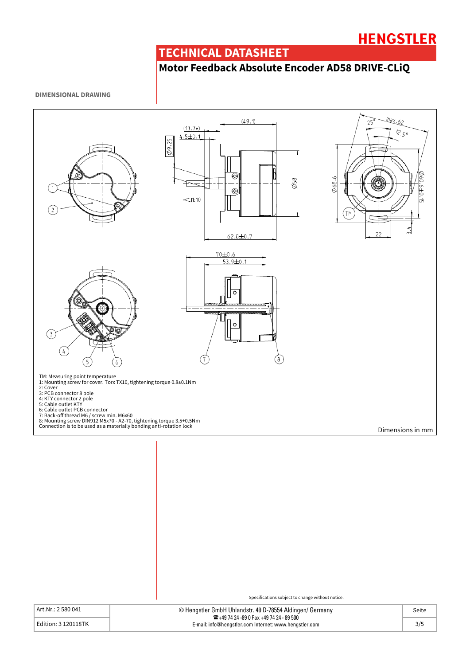### **TECHNICAL DATASHEET**

## **Motor Feedback Absolute Encoder AD58 DRIVE-CLiQ**

#### **DIMENSIONAL DRAWING**



Art.Nr.: 2 580 041

Edition: 3 120118TK

| © Hengstler GmbH Uhlandstr. 49 D-78554 Aldingen/ Germany<br><b>12</b> +49 74 24 -89 0 Fax +49 74 24 - 89 500 | Seite |
|--------------------------------------------------------------------------------------------------------------|-------|
| E-mail: info@hengstler.com Internet: www.hengstler.com                                                       | 3/5   |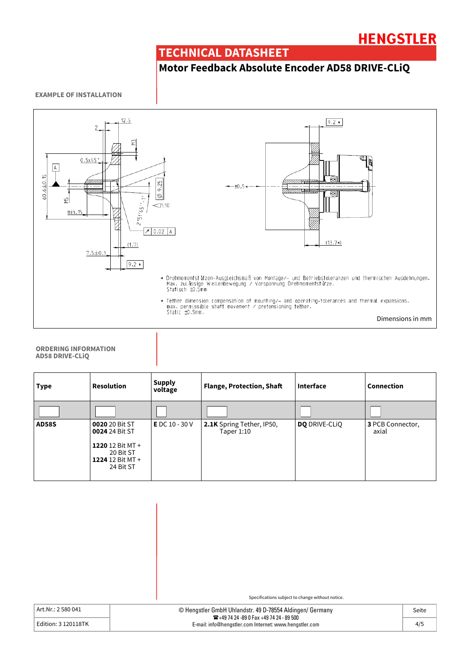## **HENGSTLER**

### **TECHNICAL DATASHEET**

## **Motor Feedback Absolute Encoder AD58 DRIVE-CLiQ**

#### **EXAMPLE OF INSTALLATION**



#### **ORDERING INFORMATION AD58 DRIVE-CLiQ**

| <b>Type</b>  | <b>Resolution</b>                                                                                      | <b>Supply</b><br>voltage | <b>Flange, Protection, Shaft</b>        | Interface            | Connection                |
|--------------|--------------------------------------------------------------------------------------------------------|--------------------------|-----------------------------------------|----------------------|---------------------------|
|              |                                                                                                        |                          |                                         |                      |                           |
| <b>AD58S</b> | 0020 20 Bit ST<br>0024 24 Bit ST<br>1220 12 Bit $MT +$<br>20 Bit ST<br>1224 12 Bit $MT +$<br>24 Bit ST | <b>E</b> DC 10 - 30 V    | 2.1K Spring Tether, IP50,<br>Taper 1:10 | <b>DO</b> DRIVE-CLIO | 3 PCB Connector,<br>axial |

| Art.Nr.: 2 580 041 |  |  |
|--------------------|--|--|
|                    |  |  |

| Art.Nr.: 2 580 041  | © Hengstler GmbH Uhlandstr. 49 D-78554 Aldingen/ Germany                                                   | Seite |
|---------------------|------------------------------------------------------------------------------------------------------------|-------|
| Edition: 3 120118TK | <b>26</b> +49 74 24 -89 0 Fax +49 74 24 - 89 500<br>E-mail: info@hengstler.com Internet: www.hengstler.com | 4/5   |